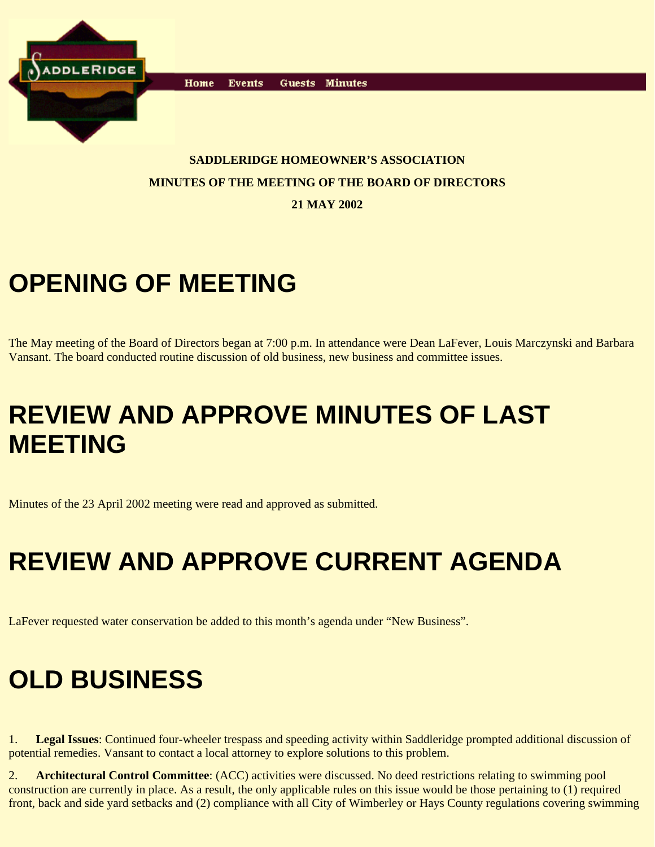

Home **Events** Guests Minutes

#### **SADDLERIDGE HOMEOWNER'S ASSOCIATION MINUTES OF THE MEETING OF THE BOARD OF DIRECTORS**

**21 MAY 2002**

# **OPENING OF MEETING**

The May meeting of the Board of Directors began at 7:00 p.m. In attendance were Dean LaFever, Louis Marczynski and Barbara Vansant. The board conducted routine discussion of old business, new business and committee issues.

## **REVIEW AND APPROVE MINUTES OF LAST MEETING**

Minutes of the 23 April 2002 meeting were read and approved as submitted.

# **REVIEW AND APPROVE CURRENT AGENDA**

LaFever requested water conservation be added to this month's agenda under "New Business".

## **OLD BUSINESS**

1. **Legal Issues**: Continued four-wheeler trespass and speeding activity within Saddleridge prompted additional discussion of potential remedies. Vansant to contact a local attorney to explore solutions to this problem.

2. **Architectural Control Committee**: (ACC) activities were discussed. No deed restrictions relating to swimming pool construction are currently in place. As a result, the only applicable rules on this issue would be those pertaining to (1) required front, back and side yard setbacks and (2) compliance with all City of Wimberley or Hays County regulations covering swimming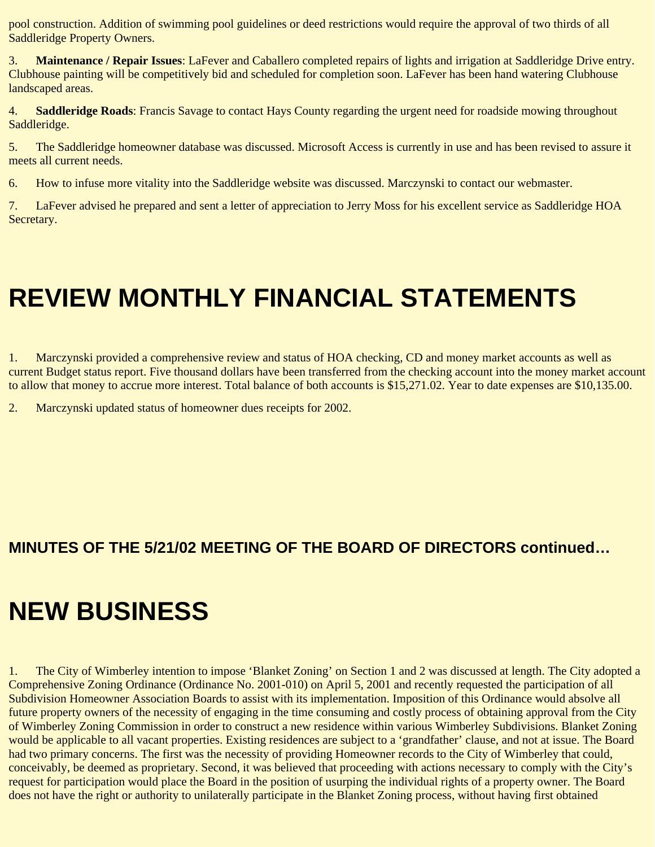pool construction. Addition of swimming pool guidelines or deed restrictions would require the approval of two thirds of all Saddleridge Property Owners.

3. **Maintenance / Repair Issues**: LaFever and Caballero completed repairs of lights and irrigation at Saddleridge Drive entry. Clubhouse painting will be competitively bid and scheduled for completion soon. LaFever has been hand watering Clubhouse landscaped areas.

4. **Saddleridge Roads**: Francis Savage to contact Hays County regarding the urgent need for roadside mowing throughout Saddleridge.

5. The Saddleridge homeowner database was discussed. Microsoft Access is currently in use and has been revised to assure it meets all current needs.

6. How to infuse more vitality into the Saddleridge website was discussed. Marczynski to contact our webmaster.

7. LaFever advised he prepared and sent a letter of appreciation to Jerry Moss for his excellent service as Saddleridge HOA Secretary.

# **REVIEW MONTHLY FINANCIAL STATEMENTS**

1. Marczynski provided a comprehensive review and status of HOA checking, CD and money market accounts as well as current Budget status report. Five thousand dollars have been transferred from the checking account into the money market account to allow that money to accrue more interest. Total balance of both accounts is \$15,271.02. Year to date expenses are \$10,135.00.

2. Marczynski updated status of homeowner dues receipts for 2002.

#### **MINUTES OF THE 5/21/02 MEETING OF THE BOARD OF DIRECTORS continued…**

#### **NEW BUSINESS**

1. The City of Wimberley intention to impose 'Blanket Zoning' on Section 1 and 2 was discussed at length. The City adopted a Comprehensive Zoning Ordinance (Ordinance No. 2001-010) on April 5, 2001 and recently requested the participation of all Subdivision Homeowner Association Boards to assist with its implementation. Imposition of this Ordinance would absolve all future property owners of the necessity of engaging in the time consuming and costly process of obtaining approval from the City of Wimberley Zoning Commission in order to construct a new residence within various Wimberley Subdivisions. Blanket Zoning would be applicable to all vacant properties. Existing residences are subject to a 'grandfather' clause, and not at issue. The Board had two primary concerns. The first was the necessity of providing Homeowner records to the City of Wimberley that could, conceivably, be deemed as proprietary. Second, it was believed that proceeding with actions necessary to comply with the City's request for participation would place the Board in the position of usurping the individual rights of a property owner. The Board does not have the right or authority to unilaterally participate in the Blanket Zoning process, without having first obtained